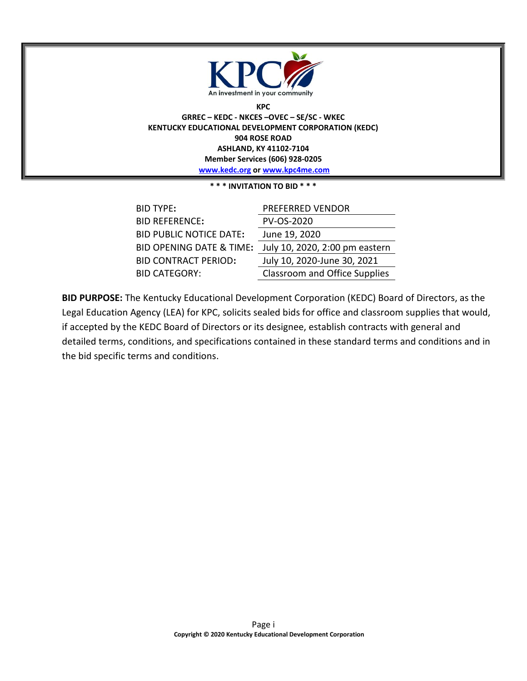

**KPC GRREC – KEDC - NKCES –OVEC – SE/SC - WKEC KENTUCKY EDUCATIONAL DEVELOPMENT CORPORATION (KEDC) 904 ROSE ROAD ASHLAND, KY 41102-7104 Member Services (606) 928-0205 [www.kedc.org](http://www.kedc.org/) or [www.kpc4me.com](http://www.kpc4me.com/)**

**\* \* \* INVITATION TO BID \* \* \***

| <b>BID TYPE:</b>                    | PREFERRED VENDOR                     |
|-------------------------------------|--------------------------------------|
| <b>BID REFERENCE:</b>               | PV-OS-2020                           |
| <b>BID PUBLIC NOTICE DATE:</b>      | June 19, 2020                        |
| <b>BID OPENING DATE &amp; TIME:</b> | July 10, 2020, 2:00 pm eastern       |
| <b>BID CONTRACT PERIOD:</b>         | July 10, 2020-June 30, 2021          |
| <b>BID CATEGORY:</b>                | <b>Classroom and Office Supplies</b> |

**BID PURPOSE:** The Kentucky Educational Development Corporation (KEDC) Board of Directors, as the Legal Education Agency (LEA) for KPC, solicits sealed bids for office and classroom supplies that would, if accepted by the KEDC Board of Directors or its designee, establish contracts with general and detailed terms, conditions, and specifications contained in these standard terms and conditions and in the bid specific terms and conditions.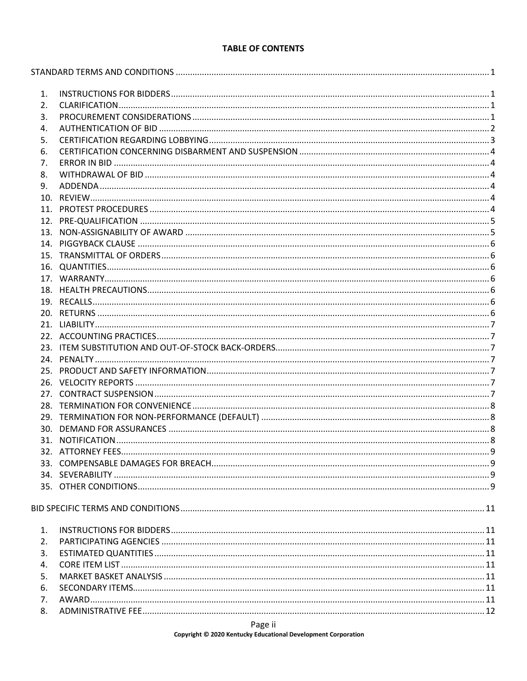### **TABLE OF CONTENTS**

| 1. |  |
|----|--|
| 2. |  |
| 3. |  |
| 4. |  |
| 5. |  |
| 6. |  |
| 7. |  |
| 8. |  |
| 9. |  |
|    |  |
|    |  |
|    |  |
|    |  |
|    |  |
|    |  |
|    |  |
|    |  |
|    |  |
|    |  |
|    |  |
|    |  |
|    |  |
|    |  |
|    |  |
|    |  |
|    |  |
|    |  |
|    |  |
|    |  |
|    |  |
|    |  |
|    |  |
|    |  |
|    |  |
|    |  |
|    |  |
|    |  |
|    |  |
| 1. |  |
| 2. |  |
| 3. |  |
| 4. |  |
| 5. |  |
| 6. |  |
| 7. |  |
| 8. |  |
|    |  |

### Page ii

Copyright © 2020 Kentucky Educational Development Corporation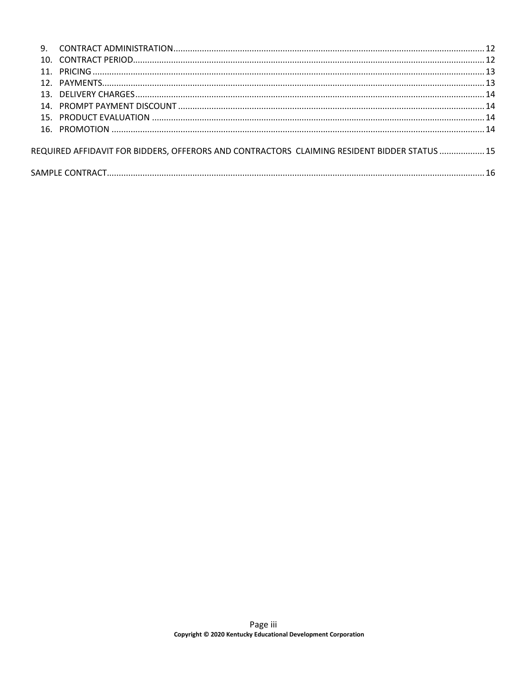| 9. |                                                                                             |  |
|----|---------------------------------------------------------------------------------------------|--|
|    |                                                                                             |  |
|    |                                                                                             |  |
|    |                                                                                             |  |
|    |                                                                                             |  |
|    |                                                                                             |  |
|    |                                                                                             |  |
|    |                                                                                             |  |
|    | REQUIRED AFFIDAVIT FOR BIDDERS, OFFERORS AND CONTRACTORS CLAIMING RESIDENT BIDDER STATUS 15 |  |
|    |                                                                                             |  |
|    |                                                                                             |  |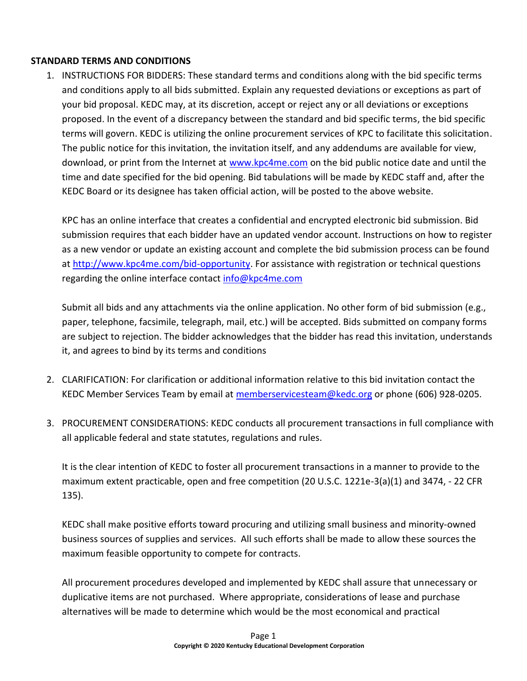## <span id="page-3-1"></span><span id="page-3-0"></span>**STANDARD TERMS AND CONDITIONS**

1. INSTRUCTIONS FOR BIDDERS: These standard terms and conditions along with the bid specific terms and conditions apply to all bids submitted. Explain any requested deviations or exceptions as part of your bid proposal. KEDC may, at its discretion, accept or reject any or all deviations or exceptions proposed. In the event of a discrepancy between the standard and bid specific terms, the bid specific terms will govern. KEDC is utilizing the online procurement services of KPC to facilitate this solicitation. The public notice for this invitation, the invitation itself, and any addendums are available for view, download, or print from the Internet at [www.kpc4me.com](http://www.kpc4me.com/) on the bid public notice date and until the time and date specified for the bid opening. Bid tabulations will be made by KEDC staff and, after the KEDC Board or its designee has taken official action, will be posted to the above website.

KPC has an online interface that creates a confidential and encrypted electronic bid submission. Bid submission requires that each bidder have an updated vendor account. Instructions on how to register as a new vendor or update an existing account and complete the bid submission process can be found at [http://www.kpc4me.com/bid-opportunity.](http://www.kpc4me.com/bid-opportunity) For assistance with registration or technical questions regarding the online interface contact [info@kpc4me.com](mailto:info@kpc4me.com)

Submit all bids and any attachments via the online application. No other form of bid submission (e.g., paper, telephone, facsimile, telegraph, mail, etc.) will be accepted. Bids submitted on company forms are subject to rejection. The bidder acknowledges that the bidder has read this invitation, understands it, and agrees to bind by its terms and conditions

- <span id="page-3-2"></span>2. CLARIFICATION: For clarification or additional information relative to this bid invitation contact the KEDC Member Services Team by email at [memberservicesteam@kedc.org](mailto:memberservicesteam@kedc.org) or phone (606) 928-0205.
- <span id="page-3-3"></span>3. PROCUREMENT CONSIDERATIONS: KEDC conducts all procurement transactions in full compliance with all applicable federal and state statutes, regulations and rules.

It is the clear intention of KEDC to foster all procurement transactions in a manner to provide to the maximum extent practicable, open and free competition (20 U.S.C. 1221e-3(a)(1) and 3474, - 22 CFR 135).

KEDC shall make positive efforts toward procuring and utilizing small business and minority-owned business sources of supplies and services. All such efforts shall be made to allow these sources the maximum feasible opportunity to compete for contracts.

All procurement procedures developed and implemented by KEDC shall assure that unnecessary or duplicative items are not purchased. Where appropriate, considerations of lease and purchase alternatives will be made to determine which would be the most economical and practical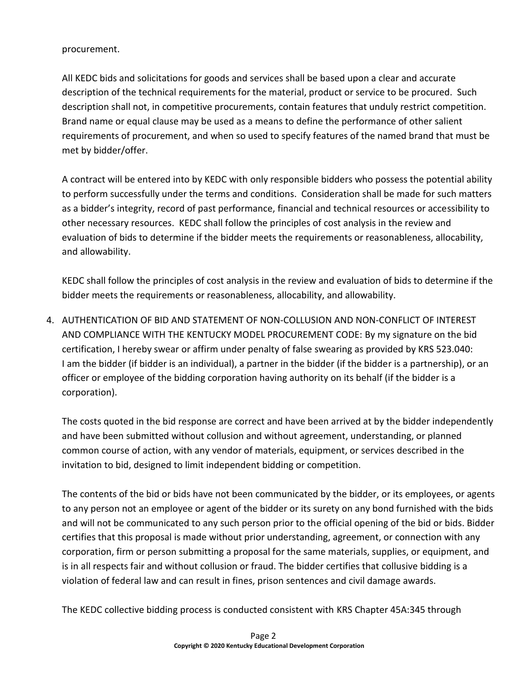procurement.

All KEDC bids and solicitations for goods and services shall be based upon a clear and accurate description of the technical requirements for the material, product or service to be procured. Such description shall not, in competitive procurements, contain features that unduly restrict competition. Brand name or equal clause may be used as a means to define the performance of other salient requirements of procurement, and when so used to specify features of the named brand that must be met by bidder/offer.

A contract will be entered into by KEDC with only responsible bidders who possess the potential ability to perform successfully under the terms and conditions. Consideration shall be made for such matters as a bidder's integrity, record of past performance, financial and technical resources or accessibility to other necessary resources. KEDC shall follow the principles of cost analysis in the review and evaluation of bids to determine if the bidder meets the requirements or reasonableness, allocability, and allowability.

KEDC shall follow the principles of cost analysis in the review and evaluation of bids to determine if the bidder meets the requirements or reasonableness, allocability, and allowability.

<span id="page-4-0"></span>4. AUTHENTICATION OF BID AND STATEMENT OF NON-COLLUSION AND NON-CONFLICT OF INTEREST AND COMPLIANCE WITH THE KENTUCKY MODEL PROCUREMENT CODE: By my signature on the bid certification, I hereby swear or affirm under penalty of false swearing as provided by KRS 523.040: I am the bidder (if bidder is an individual), a partner in the bidder (if the bidder is a partnership), or an officer or employee of the bidding corporation having authority on its behalf (if the bidder is a corporation).

The costs quoted in the bid response are correct and have been arrived at by the bidder independently and have been submitted without collusion and without agreement, understanding, or planned common course of action, with any vendor of materials, equipment, or services described in the invitation to bid, designed to limit independent bidding or competition.

The contents of the bid or bids have not been communicated by the bidder, or its employees, or agents to any person not an employee or agent of the bidder or its surety on any bond furnished with the bids and will not be communicated to any such person prior to the official opening of the bid or bids. Bidder certifies that this proposal is made without prior understanding, agreement, or connection with any corporation, firm or person submitting a proposal for the same materials, supplies, or equipment, and is in all respects fair and without collusion or fraud. The bidder certifies that collusive bidding is a violation of federal law and can result in fines, prison sentences and civil damage awards.

The KEDC collective bidding process is conducted consistent with KRS Chapter 45A:345 through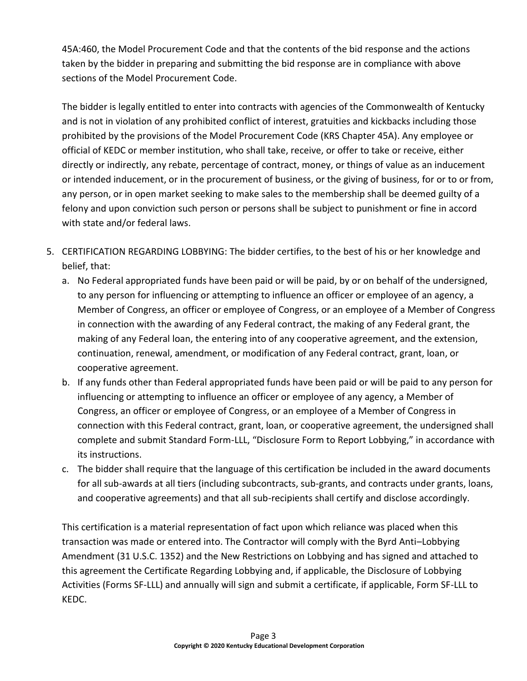45A:460, the Model Procurement Code and that the contents of the bid response and the actions taken by the bidder in preparing and submitting the bid response are in compliance with above sections of the Model Procurement Code.

The bidder is legally entitled to enter into contracts with agencies of the Commonwealth of Kentucky and is not in violation of any prohibited conflict of interest, gratuities and kickbacks including those prohibited by the provisions of the Model Procurement Code (KRS Chapter 45A). Any employee or official of KEDC or member institution, who shall take, receive, or offer to take or receive, either directly or indirectly, any rebate, percentage of contract, money, or things of value as an inducement or intended inducement, or in the procurement of business, or the giving of business, for or to or from, any person, or in open market seeking to make sales to the membership shall be deemed guilty of a felony and upon conviction such person or persons shall be subject to punishment or fine in accord with state and/or federal laws.

- <span id="page-5-0"></span>5. CERTIFICATION REGARDING LOBBYING: The bidder certifies, to the best of his or her knowledge and belief, that:
	- a. No Federal appropriated funds have been paid or will be paid, by or on behalf of the undersigned, to any person for influencing or attempting to influence an officer or employee of an agency, a Member of Congress, an officer or employee of Congress, or an employee of a Member of Congress in connection with the awarding of any Federal contract, the making of any Federal grant, the making of any Federal loan, the entering into of any cooperative agreement, and the extension, continuation, renewal, amendment, or modification of any Federal contract, grant, loan, or cooperative agreement.
	- b. If any funds other than Federal appropriated funds have been paid or will be paid to any person for influencing or attempting to influence an officer or employee of any agency, a Member of Congress, an officer or employee of Congress, or an employee of a Member of Congress in connection with this Federal contract, grant, loan, or cooperative agreement, the undersigned shall complete and submit Standard Form-LLL, "Disclosure Form to Report Lobbying," in accordance with its instructions.
	- c. The bidder shall require that the language of this certification be included in the award documents for all sub-awards at all tiers (including subcontracts, sub-grants, and contracts under grants, loans, and cooperative agreements) and that all sub-recipients shall certify and disclose accordingly.

This certification is a material representation of fact upon which reliance was placed when this transaction was made or entered into. The Contractor will comply with the Byrd Anti–Lobbying Amendment (31 U.S.C. 1352) and the New Restrictions on Lobbying and has signed and attached to this agreement the Certificate Regarding Lobbying and, if applicable, the Disclosure of Lobbying Activities (Forms SF-LLL) and annually will sign and submit a certificate, if applicable, Form SF-LLL to KEDC.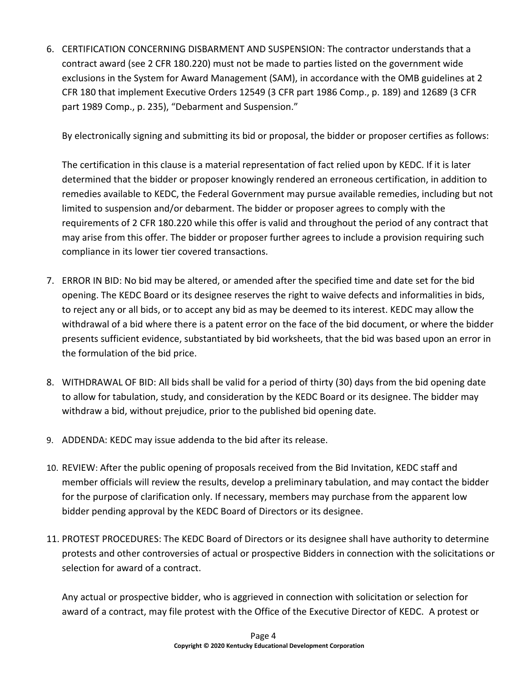<span id="page-6-0"></span>6. CERTIFICATION CONCERNING DISBARMENT AND SUSPENSION: The contractor understands that a contract award (see 2 CFR 180.220) must not be made to parties listed on the government wide exclusions in the System for Award Management (SAM), in accordance with the OMB guidelines at 2 CFR 180 that implement Executive Orders 12549 (3 CFR part 1986 Comp., p. 189) and 12689 (3 CFR part 1989 Comp., p. 235), "Debarment and Suspension."

By electronically signing and submitting its bid or proposal, the bidder or proposer certifies as follows:

The certification in this clause is a material representation of fact relied upon by KEDC. If it is later determined that the bidder or proposer knowingly rendered an erroneous certification, in addition to remedies available to KEDC, the Federal Government may pursue available remedies, including but not limited to suspension and/or debarment. The bidder or proposer agrees to comply with the requirements of 2 CFR 180.220 while this offer is valid and throughout the period of any contract that may arise from this offer. The bidder or proposer further agrees to include a provision requiring such compliance in its lower tier covered transactions.

- <span id="page-6-1"></span>7. ERROR IN BID: No bid may be altered, or amended after the specified time and date set for the bid opening. The KEDC Board or its designee reserves the right to waive defects and informalities in bids, to reject any or all bids, or to accept any bid as may be deemed to its interest. KEDC may allow the withdrawal of a bid where there is a patent error on the face of the bid document, or where the bidder presents sufficient evidence, substantiated by bid worksheets, that the bid was based upon an error in the formulation of the bid price.
- <span id="page-6-2"></span>8. WITHDRAWAL OF BID: All bids shall be valid for a period of thirty (30) days from the bid opening date to allow for tabulation, study, and consideration by the KEDC Board or its designee. The bidder may withdraw a bid, without prejudice, prior to the published bid opening date.
- <span id="page-6-3"></span>9. ADDENDA: KEDC may issue addenda to the bid after its release.
- <span id="page-6-4"></span>10. REVIEW: After the public opening of proposals received from the Bid Invitation, KEDC staff and member officials will review the results, develop a preliminary tabulation, and may contact the bidder for the purpose of clarification only. If necessary, members may purchase from the apparent low bidder pending approval by the KEDC Board of Directors or its designee.
- <span id="page-6-5"></span>11. PROTEST PROCEDURES: The KEDC Board of Directors or its designee shall have authority to determine protests and other controversies of actual or prospective Bidders in connection with the solicitations or selection for award of a contract.

Any actual or prospective bidder, who is aggrieved in connection with solicitation or selection for award of a contract, may file protest with the Office of the Executive Director of KEDC. A protest or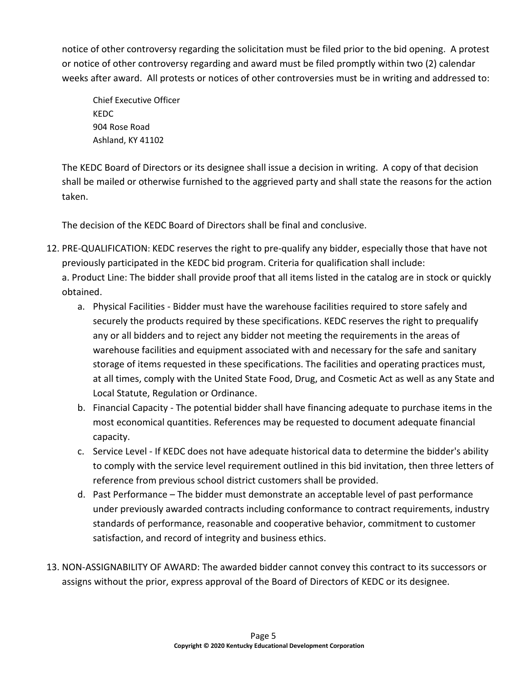notice of other controversy regarding the solicitation must be filed prior to the bid opening. A protest or notice of other controversy regarding and award must be filed promptly within two (2) calendar weeks after award. All protests or notices of other controversies must be in writing and addressed to:

Chief Executive Officer KEDC 904 Rose Road Ashland, KY 41102

The KEDC Board of Directors or its designee shall issue a decision in writing. A copy of that decision shall be mailed or otherwise furnished to the aggrieved party and shall state the reasons for the action taken.

The decision of the KEDC Board of Directors shall be final and conclusive.

- <span id="page-7-0"></span>12. PRE-QUALIFICATION: KEDC reserves the right to pre-qualify any bidder, especially those that have not previously participated in the KEDC bid program. Criteria for qualification shall include: a. Product Line: The bidder shall provide proof that all items listed in the catalog are in stock or quickly obtained.
	- a. Physical Facilities Bidder must have the warehouse facilities required to store safely and securely the products required by these specifications. KEDC reserves the right to prequalify any or all bidders and to reject any bidder not meeting the requirements in the areas of warehouse facilities and equipment associated with and necessary for the safe and sanitary storage of items requested in these specifications. The facilities and operating practices must, at all times, comply with the United State Food, Drug, and Cosmetic Act as well as any State and Local Statute, Regulation or Ordinance.
	- b. Financial Capacity The potential bidder shall have financing adequate to purchase items in the most economical quantities. References may be requested to document adequate financial capacity.
	- c. Service Level If KEDC does not have adequate historical data to determine the bidder's ability to comply with the service level requirement outlined in this bid invitation, then three letters of reference from previous school district customers shall be provided.
	- d. Past Performance The bidder must demonstrate an acceptable level of past performance under previously awarded contracts including conformance to contract requirements, industry standards of performance, reasonable and cooperative behavior, commitment to customer satisfaction, and record of integrity and business ethics.
- <span id="page-7-1"></span>13. NON-ASSIGNABILITY OF AWARD: The awarded bidder cannot convey this contract to its successors or assigns without the prior, express approval of the Board of Directors of KEDC or its designee.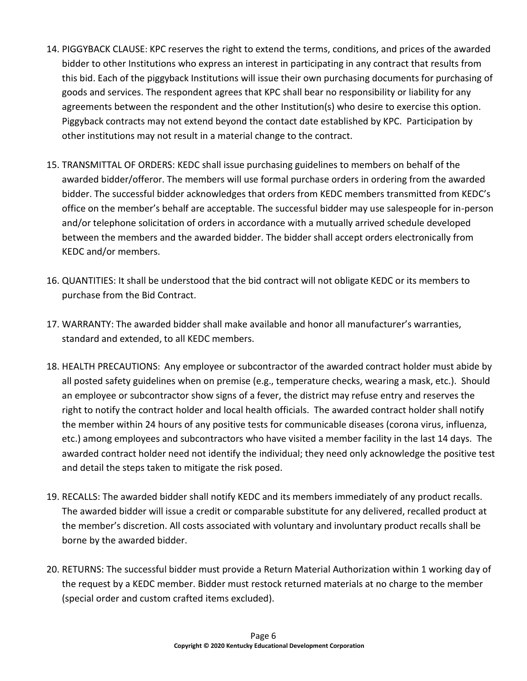- <span id="page-8-0"></span>14. PIGGYBACK CLAUSE: KPC reserves the right to extend the terms, conditions, and prices of the awarded bidder to other Institutions who express an interest in participating in any contract that results from this bid. Each of the piggyback Institutions will issue their own purchasing documents for purchasing of goods and services. The respondent agrees that KPC shall bear no responsibility or liability for any agreements between the respondent and the other Institution(s) who desire to exercise this option. Piggyback contracts may not extend beyond the contact date established by KPC. Participation by other institutions may not result in a material change to the contract.
- <span id="page-8-1"></span>15. TRANSMITTAL OF ORDERS: KEDC shall issue purchasing guidelines to members on behalf of the awarded bidder/offeror. The members will use formal purchase orders in ordering from the awarded bidder. The successful bidder acknowledges that orders from KEDC members transmitted from KEDC's office on the member's behalf are acceptable. The successful bidder may use salespeople for in-person and/or telephone solicitation of orders in accordance with a mutually arrived schedule developed between the members and the awarded bidder. The bidder shall accept orders electronically from KEDC and/or members.
- <span id="page-8-2"></span>16. QUANTITIES: It shall be understood that the bid contract will not obligate KEDC or its members to purchase from the Bid Contract.
- <span id="page-8-3"></span>17. WARRANTY: The awarded bidder shall make available and honor all manufacturer's warranties, standard and extended, to all KEDC members.
- <span id="page-8-4"></span>18. HEALTH PRECAUTIONS: Any employee or subcontractor of the awarded contract holder must abide by all posted safety guidelines when on premise (e.g., temperature checks, wearing a mask, etc.). Should an employee or subcontractor show signs of a fever, the district may refuse entry and reserves the right to notify the contract holder and local health officials. The awarded contract holder shall notify the member within 24 hours of any positive tests for communicable diseases (corona virus, influenza, etc.) among employees and subcontractors who have visited a member facility in the last 14 days. The awarded contract holder need not identify the individual; they need only acknowledge the positive test and detail the steps taken to mitigate the risk posed.
- <span id="page-8-5"></span>19. RECALLS: The awarded bidder shall notify KEDC and its members immediately of any product recalls. The awarded bidder will issue a credit or comparable substitute for any delivered, recalled product at the member's discretion. All costs associated with voluntary and involuntary product recalls shall be borne by the awarded bidder.
- <span id="page-8-6"></span>20. RETURNS: The successful bidder must provide a Return Material Authorization within 1 working day of the request by a KEDC member. Bidder must restock returned materials at no charge to the member (special order and custom crafted items excluded).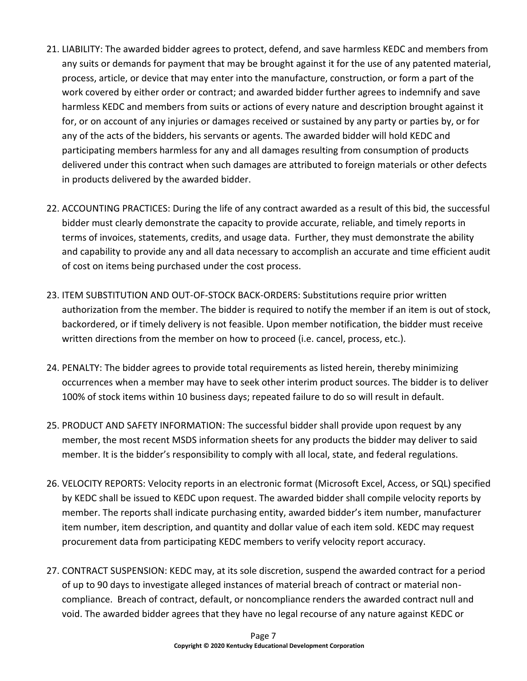- <span id="page-9-0"></span>21. LIABILITY: The awarded bidder agrees to protect, defend, and save harmless KEDC and members from any suits or demands for payment that may be brought against it for the use of any patented material, process, article, or device that may enter into the manufacture, construction, or form a part of the work covered by either order or contract; and awarded bidder further agrees to indemnify and save harmless KEDC and members from suits or actions of every nature and description brought against it for, or on account of any injuries or damages received or sustained by any party or parties by, or for any of the acts of the bidders, his servants or agents. The awarded bidder will hold KEDC and participating members harmless for any and all damages resulting from consumption of products delivered under this contract when such damages are attributed to foreign materials or other defects in products delivered by the awarded bidder.
- <span id="page-9-1"></span>22. ACCOUNTING PRACTICES: During the life of any contract awarded as a result of this bid, the successful bidder must clearly demonstrate the capacity to provide accurate, reliable, and timely reports in terms of invoices, statements, credits, and usage data. Further, they must demonstrate the ability and capability to provide any and all data necessary to accomplish an accurate and time efficient audit of cost on items being purchased under the cost process.
- <span id="page-9-2"></span>23. ITEM SUBSTITUTION AND OUT-OF-STOCK BACK-ORDERS: Substitutions require prior written authorization from the member. The bidder is required to notify the member if an item is out of stock, backordered, or if timely delivery is not feasible. Upon member notification, the bidder must receive written directions from the member on how to proceed (i.e. cancel, process, etc.).
- <span id="page-9-3"></span>24. PENALTY: The bidder agrees to provide total requirements as listed herein, thereby minimizing occurrences when a member may have to seek other interim product sources. The bidder is to deliver 100% of stock items within 10 business days; repeated failure to do so will result in default.
- <span id="page-9-4"></span>25. PRODUCT AND SAFETY INFORMATION: The successful bidder shall provide upon request by any member, the most recent MSDS information sheets for any products the bidder may deliver to said member. It is the bidder's responsibility to comply with all local, state, and federal regulations.
- <span id="page-9-5"></span>26. VELOCITY REPORTS: Velocity reports in an electronic format (Microsoft Excel, Access, or SQL) specified by KEDC shall be issued to KEDC upon request. The awarded bidder shall compile velocity reports by member. The reports shall indicate purchasing entity, awarded bidder's item number, manufacturer item number, item description, and quantity and dollar value of each item sold. KEDC may request procurement data from participating KEDC members to verify velocity report accuracy.
- <span id="page-9-6"></span>27. CONTRACT SUSPENSION: KEDC may, at its sole discretion, suspend the awarded contract for a period of up to 90 days to investigate alleged instances of material breach of contract or material noncompliance. Breach of contract, default, or noncompliance renders the awarded contract null and void. The awarded bidder agrees that they have no legal recourse of any nature against KEDC or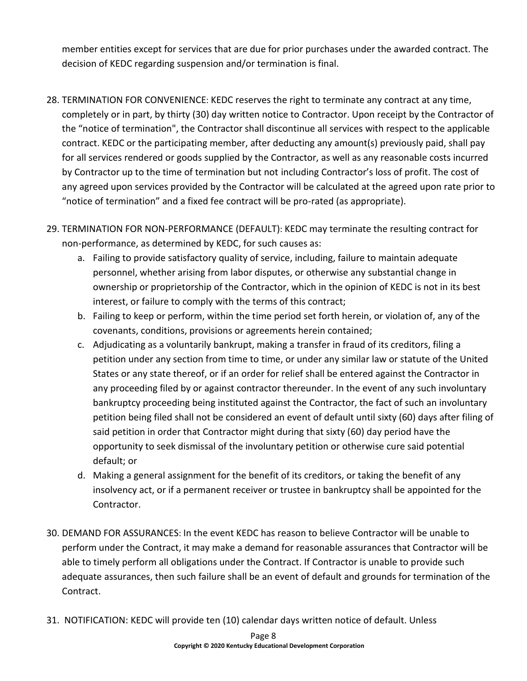member entities except for services that are due for prior purchases under the awarded contract. The decision of KEDC regarding suspension and/or termination is final.

- <span id="page-10-0"></span>28. TERMINATION FOR CONVENIENCE: KEDC reserves the right to terminate any contract at any time, completely or in part, by thirty (30) day written notice to Contractor. Upon receipt by the Contractor of the "notice of termination", the Contractor shall discontinue all services with respect to the applicable contract. KEDC or the participating member, after deducting any amount(s) previously paid, shall pay for all services rendered or goods supplied by the Contractor, as well as any reasonable costs incurred by Contractor up to the time of termination but not including Contractor's loss of profit. The cost of any agreed upon services provided by the Contractor will be calculated at the agreed upon rate prior to "notice of termination" and a fixed fee contract will be pro-rated (as appropriate).
- <span id="page-10-1"></span>29. TERMINATION FOR NON-PERFORMANCE (DEFAULT): KEDC may terminate the resulting contract for non-performance, as determined by KEDC, for such causes as:
	- a. Failing to provide satisfactory quality of service, including, failure to maintain adequate personnel, whether arising from labor disputes, or otherwise any substantial change in ownership or proprietorship of the Contractor, which in the opinion of KEDC is not in its best interest, or failure to comply with the terms of this contract;
	- b. Failing to keep or perform, within the time period set forth herein, or violation of, any of the covenants, conditions, provisions or agreements herein contained;
	- c. Adjudicating as a voluntarily bankrupt, making a transfer in fraud of its creditors, filing a petition under any section from time to time, or under any similar law or statute of the United States or any state thereof, or if an order for relief shall be entered against the Contractor in any proceeding filed by or against contractor thereunder. In the event of any such involuntary bankruptcy proceeding being instituted against the Contractor, the fact of such an involuntary petition being filed shall not be considered an event of default until sixty (60) days after filing of said petition in order that Contractor might during that sixty (60) day period have the opportunity to seek dismissal of the involuntary petition or otherwise cure said potential default; or
	- d. Making a general assignment for the benefit of its creditors, or taking the benefit of any insolvency act, or if a permanent receiver or trustee in bankruptcy shall be appointed for the Contractor.
- <span id="page-10-2"></span>30. DEMAND FOR ASSURANCES: In the event KEDC has reason to believe Contractor will be unable to perform under the Contract, it may make a demand for reasonable assurances that Contractor will be able to timely perform all obligations under the Contract. If Contractor is unable to provide such adequate assurances, then such failure shall be an event of default and grounds for termination of the Contract.
- <span id="page-10-3"></span>31. NOTIFICATION: KEDC will provide ten (10) calendar days written notice of default. Unless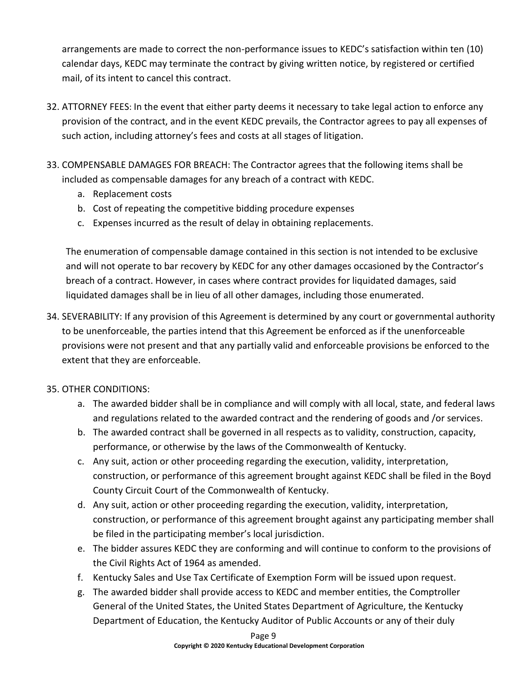arrangements are made to correct the non-performance issues to KEDC's satisfaction within ten (10) calendar days, KEDC may terminate the contract by giving written notice, by registered or certified mail, of its intent to cancel this contract.

- <span id="page-11-0"></span>32. ATTORNEY FEES: In the event that either party deems it necessary to take legal action to enforce any provision of the contract, and in the event KEDC prevails, the Contractor agrees to pay all expenses of such action, including attorney's fees and costs at all stages of litigation.
- <span id="page-11-1"></span>33. COMPENSABLE DAMAGES FOR BREACH: The Contractor agrees that the following items shall be included as compensable damages for any breach of a contract with KEDC.
	- a. Replacement costs
	- b. Cost of repeating the competitive bidding procedure expenses
	- c. Expenses incurred as the result of delay in obtaining replacements.

The enumeration of compensable damage contained in this section is not intended to be exclusive and will not operate to bar recovery by KEDC for any other damages occasioned by the Contractor's breach of a contract. However, in cases where contract provides for liquidated damages, said liquidated damages shall be in lieu of all other damages, including those enumerated.

- <span id="page-11-2"></span>34. SEVERABILITY: If any provision of this Agreement is determined by any court or governmental authority to be unenforceable, the parties intend that this Agreement be enforced as if the unenforceable provisions were not present and that any partially valid and enforceable provisions be enforced to the extent that they are enforceable.
- <span id="page-11-3"></span>35. OTHER CONDITIONS:
	- a. The awarded bidder shall be in compliance and will comply with all local, state, and federal laws and regulations related to the awarded contract and the rendering of goods and /or services.
	- b. The awarded contract shall be governed in all respects as to validity, construction, capacity, performance, or otherwise by the laws of the Commonwealth of Kentucky.
	- c. Any suit, action or other proceeding regarding the execution, validity, interpretation, construction, or performance of this agreement brought against KEDC shall be filed in the Boyd County Circuit Court of the Commonwealth of Kentucky.
	- d. Any suit, action or other proceeding regarding the execution, validity, interpretation, construction, or performance of this agreement brought against any participating member shall be filed in the participating member's local jurisdiction.
	- e. The bidder assures KEDC they are conforming and will continue to conform to the provisions of the Civil Rights Act of 1964 as amended.
	- f. Kentucky Sales and Use Tax Certificate of Exemption Form will be issued upon request.
	- g. The awarded bidder shall provide access to KEDC and member entities, the Comptroller General of the United States, the United States Department of Agriculture, the Kentucky Department of Education, the Kentucky Auditor of Public Accounts or any of their duly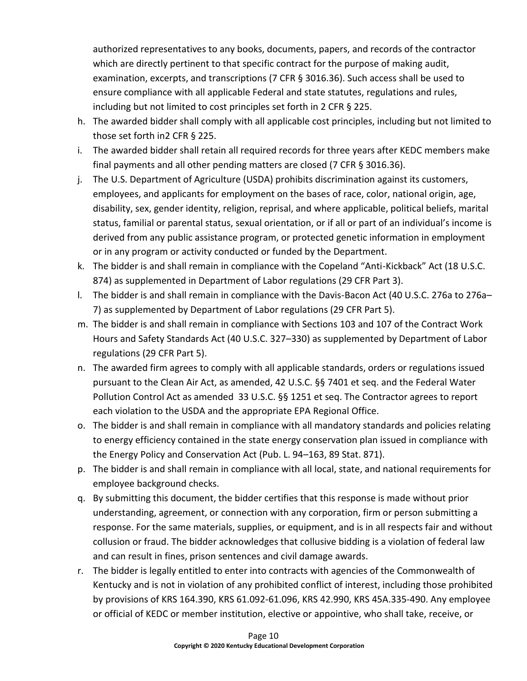authorized representatives to any books, documents, papers, and records of the contractor which are directly pertinent to that specific contract for the purpose of making audit, examination, excerpts, and transcriptions (7 CFR § 3016.36). Such access shall be used to ensure compliance with all applicable Federal and state statutes, regulations and rules, including but not limited to cost principles set forth in 2 CFR § 225.

- h. The awarded bidder shall comply with all applicable cost principles, including but not limited to those set forth in2 CFR § 225.
- i. The awarded bidder shall retain all required records for three years after KEDC members make final payments and all other pending matters are closed (7 CFR § 3016.36).
- j. The U.S. Department of Agriculture (USDA) prohibits discrimination against its customers, employees, and applicants for employment on the bases of race, color, national origin, age, disability, sex, gender identity, religion, reprisal, and where applicable, political beliefs, marital status, familial or parental status, sexual orientation, or if all or part of an individual's income is derived from any public assistance program, or protected genetic information in employment or in any program or activity conducted or funded by the Department.
- k. The bidder is and shall remain in compliance with the Copeland "Anti-Kickback" Act (18 U.S.C. 874) as supplemented in Department of Labor regulations (29 CFR Part 3).
- l. The bidder is and shall remain in compliance with the Davis-Bacon Act (40 U.S.C. 276a to 276a– 7) as supplemented by Department of Labor regulations (29 CFR Part 5).
- m. The bidder is and shall remain in compliance with Sections 103 and 107 of the Contract Work Hours and Safety Standards Act (40 U.S.C. 327–330) as supplemented by Department of Labor regulations (29 CFR Part 5).
- n. The awarded firm agrees to comply with all applicable standards, orders or regulations issued pursuant to the Clean Air Act, as amended, 42 U.S.C. §§ 7401 et seq. and the Federal Water Pollution Control Act as amended 33 U.S.C. §§ 1251 et seq. The Contractor agrees to report each violation to the USDA and the appropriate EPA Regional Office.
- o. The bidder is and shall remain in compliance with all mandatory standards and policies relating to energy efficiency contained in the state energy conservation plan issued in compliance with the Energy Policy and Conservation Act (Pub. L. 94–163, 89 Stat. 871).
- p. The bidder is and shall remain in compliance with all local, state, and national requirements for employee background checks.
- q. By submitting this document, the bidder certifies that this response is made without prior understanding, agreement, or connection with any corporation, firm or person submitting a response. For the same materials, supplies, or equipment, and is in all respects fair and without collusion or fraud. The bidder acknowledges that collusive bidding is a violation of federal law and can result in fines, prison sentences and civil damage awards.
- r. The bidder is legally entitled to enter into contracts with agencies of the Commonwealth of Kentucky and is not in violation of any prohibited conflict of interest, including those prohibited by provisions of KRS 164.390, KRS 61.092-61.096, KRS 42.990, KRS 45A.335-490. Any employee or official of KEDC or member institution, elective or appointive, who shall take, receive, or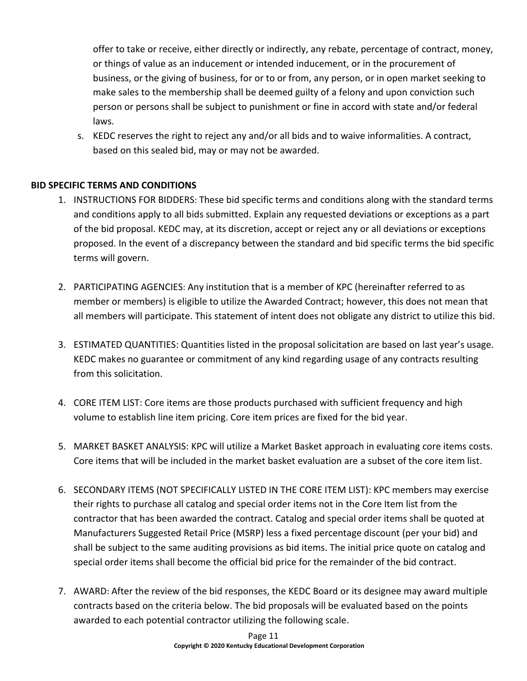offer to take or receive, either directly or indirectly, any rebate, percentage of contract, money, or things of value as an inducement or intended inducement, or in the procurement of business, or the giving of business, for or to or from, any person, or in open market seeking to make sales to the membership shall be deemed guilty of a felony and upon conviction such person or persons shall be subject to punishment or fine in accord with state and/or federal laws.

s. KEDC reserves the right to reject any and/or all bids and to waive informalities. A contract, based on this sealed bid, may or may not be awarded.

# <span id="page-13-1"></span><span id="page-13-0"></span>**BID SPECIFIC TERMS AND CONDITIONS**

- 1. INSTRUCTIONS FOR BIDDERS: These bid specific terms and conditions along with the standard terms and conditions apply to all bids submitted. Explain any requested deviations or exceptions as a part of the bid proposal. KEDC may, at its discretion, accept or reject any or all deviations or exceptions proposed. In the event of a discrepancy between the standard and bid specific terms the bid specific terms will govern.
- <span id="page-13-2"></span>2. PARTICIPATING AGENCIES: Any institution that is a member of KPC (hereinafter referred to as member or members) is eligible to utilize the Awarded Contract; however, this does not mean that all members will participate. This statement of intent does not obligate any district to utilize this bid.
- <span id="page-13-3"></span>3. ESTIMATED QUANTITIES: Quantities listed in the proposal solicitation are based on last year's usage. KEDC makes no guarantee or commitment of any kind regarding usage of any contracts resulting from this solicitation.
- <span id="page-13-4"></span>4. CORE ITEM LIST: Core items are those products purchased with sufficient frequency and high volume to establish line item pricing. Core item prices are fixed for the bid year.
- <span id="page-13-5"></span>5. MARKET BASKET ANALYSIS: KPC will utilize a Market Basket approach in evaluating core items costs. Core items that will be included in the market basket evaluation are a subset of the core item list.
- <span id="page-13-6"></span>6. SECONDARY ITEMS (NOT SPECIFICALLY LISTED IN THE CORE ITEM LIST): KPC members may exercise their rights to purchase all catalog and special order items not in the Core Item list from the contractor that has been awarded the contract. Catalog and special order items shall be quoted at Manufacturers Suggested Retail Price (MSRP) less a fixed percentage discount (per your bid) and shall be subject to the same auditing provisions as bid items. The initial price quote on catalog and special order items shall become the official bid price for the remainder of the bid contract.
- <span id="page-13-7"></span>7. AWARD: After the review of the bid responses, the KEDC Board or its designee may award multiple contracts based on the criteria below. The bid proposals will be evaluated based on the points awarded to each potential contractor utilizing the following scale.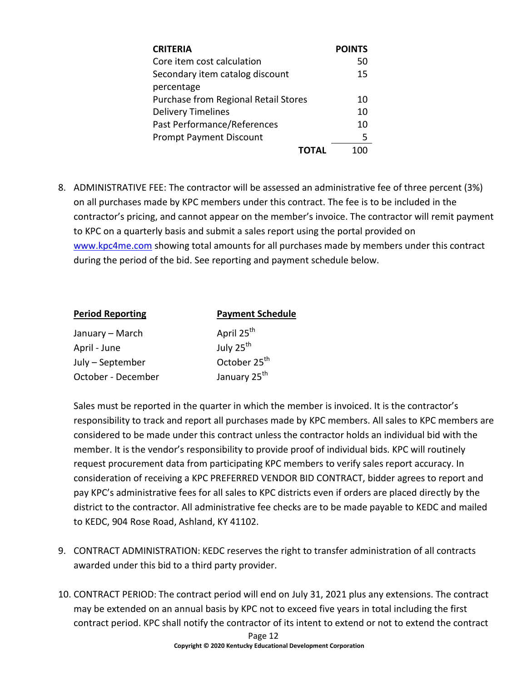| <b>CRITERIA</b>                      | <b>POINTS</b> |
|--------------------------------------|---------------|
| Core item cost calculation           | 50            |
| Secondary item catalog discount      | 15            |
| percentage                           |               |
| Purchase from Regional Retail Stores | 10            |
| <b>Delivery Timelines</b>            | 10            |
| Past Performance/References          | 10            |
| <b>Prompt Payment Discount</b>       | 5             |
|                                      |               |

<span id="page-14-0"></span>8. ADMINISTRATIVE FEE: The contractor will be assessed an administrative fee of three percent (3%) on all purchases made by KPC members under this contract. The fee is to be included in the contractor's pricing, and cannot appear on the member's invoice. The contractor will remit payment to KPC on a quarterly basis and submit a sales report using the portal provided on <www.kpc4me.com> showing total amounts for all purchases made by members under this contract during the period of the bid. See reporting and payment schedule below.

| <b>Payment Schedule</b>  |
|--------------------------|
| April 25 <sup>th</sup>   |
| July 25 <sup>th</sup>    |
| October 25 <sup>th</sup> |
| January 25 <sup>th</sup> |
|                          |

Sales must be reported in the quarter in which the member is invoiced. It is the contractor's responsibility to track and report all purchases made by KPC members. All sales to KPC members are considered to be made under this contract unless the contractor holds an individual bid with the member. It is the vendor's responsibility to provide proof of individual bids. KPC will routinely request procurement data from participating KPC members to verify sales report accuracy. In consideration of receiving a KPC PREFERRED VENDOR BID CONTRACT, bidder agrees to report and pay KPC's administrative fees for all sales to KPC districts even if orders are placed directly by the district to the contractor. All administrative fee checks are to be made payable to KEDC and mailed to KEDC, 904 Rose Road, Ashland, KY 41102.

- <span id="page-14-1"></span>9. CONTRACT ADMINISTRATION: KEDC reserves the right to transfer administration of all contracts awarded under this bid to a third party provider.
- <span id="page-14-2"></span>10. CONTRACT PERIOD: The contract period will end on July 31, 2021 plus any extensions. The contract may be extended on an annual basis by KPC not to exceed five years in total including the first contract period. KPC shall notify the contractor of its intent to extend or not to extend the contract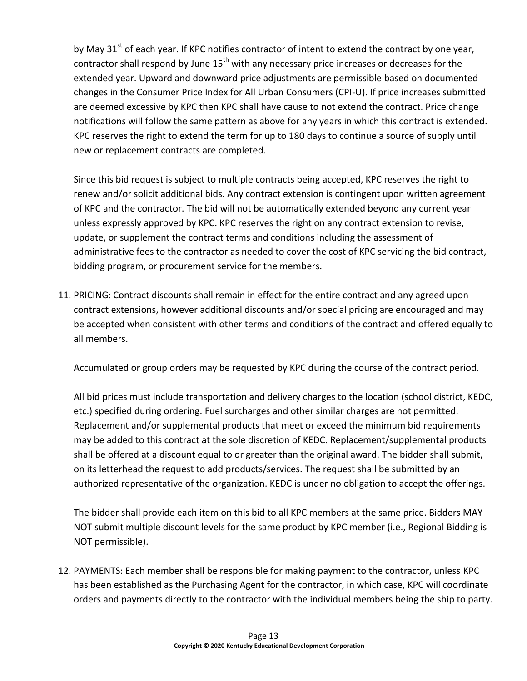by May 31<sup>st</sup> of each year. If KPC notifies contractor of intent to extend the contract by one year, contractor shall respond by June 15<sup>th</sup> with any necessary price increases or decreases for the extended year. Upward and downward price adjustments are permissible based on documented changes in the Consumer Price Index for All Urban Consumers (CPI-U). If price increases submitted are deemed excessive by KPC then KPC shall have cause to not extend the contract. Price change notifications will follow the same pattern as above for any years in which this contract is extended. KPC reserves the right to extend the term for up to 180 days to continue a source of supply until new or replacement contracts are completed.

Since this bid request is subject to multiple contracts being accepted, KPC reserves the right to renew and/or solicit additional bids. Any contract extension is contingent upon written agreement of KPC and the contractor. The bid will not be automatically extended beyond any current year unless expressly approved by KPC. KPC reserves the right on any contract extension to revise, update, or supplement the contract terms and conditions including the assessment of administrative fees to the contractor as needed to cover the cost of KPC servicing the bid contract, bidding program, or procurement service for the members.

<span id="page-15-0"></span>11. PRICING: Contract discounts shall remain in effect for the entire contract and any agreed upon contract extensions, however additional discounts and/or special pricing are encouraged and may be accepted when consistent with other terms and conditions of the contract and offered equally to all members.

Accumulated or group orders may be requested by KPC during the course of the contract period.

All bid prices must include transportation and delivery charges to the location (school district, KEDC, etc.) specified during ordering. Fuel surcharges and other similar charges are not permitted. Replacement and/or supplemental products that meet or exceed the minimum bid requirements may be added to this contract at the sole discretion of KEDC. Replacement/supplemental products shall be offered at a discount equal to or greater than the original award. The bidder shall submit, on its letterhead the request to add products/services. The request shall be submitted by an authorized representative of the organization. KEDC is under no obligation to accept the offerings.

The bidder shall provide each item on this bid to all KPC members at the same price. Bidders MAY NOT submit multiple discount levels for the same product by KPC member (i.e., Regional Bidding is NOT permissible).

<span id="page-15-1"></span>12. PAYMENTS: Each member shall be responsible for making payment to the contractor, unless KPC has been established as the Purchasing Agent for the contractor, in which case, KPC will coordinate orders and payments directly to the contractor with the individual members being the ship to party.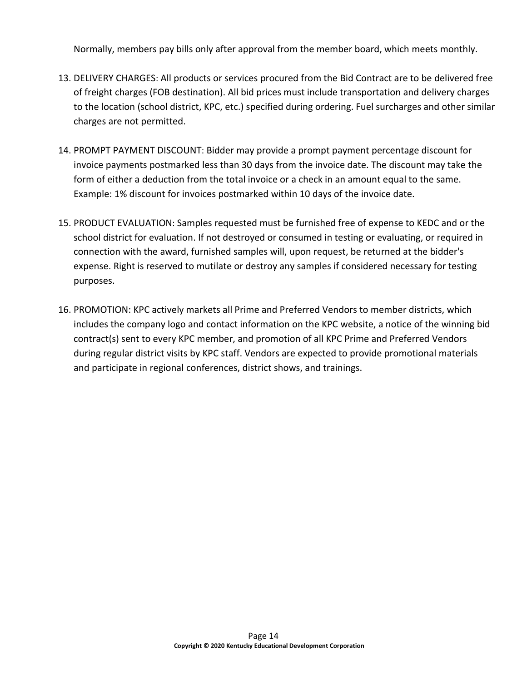Normally, members pay bills only after approval from the member board, which meets monthly.

- <span id="page-16-0"></span>13. DELIVERY CHARGES: All products or services procured from the Bid Contract are to be delivered free of freight charges (FOB destination). All bid prices must include transportation and delivery charges to the location (school district, KPC, etc.) specified during ordering. Fuel surcharges and other similar charges are not permitted.
- <span id="page-16-1"></span>14. PROMPT PAYMENT DISCOUNT: Bidder may provide a prompt payment percentage discount for invoice payments postmarked less than 30 days from the invoice date. The discount may take the form of either a deduction from the total invoice or a check in an amount equal to the same. Example: 1% discount for invoices postmarked within 10 days of the invoice date.
- <span id="page-16-2"></span>15. PRODUCT EVALUATION: Samples requested must be furnished free of expense to KEDC and or the school district for evaluation. If not destroyed or consumed in testing or evaluating, or required in connection with the award, furnished samples will, upon request, be returned at the bidder's expense. Right is reserved to mutilate or destroy any samples if considered necessary for testing purposes.
- <span id="page-16-3"></span>16. PROMOTION: KPC actively markets all Prime and Preferred Vendors to member districts, which includes the company logo and contact information on the KPC website, a notice of the winning bid contract(s) sent to every KPC member, and promotion of all KPC Prime and Preferred Vendors during regular district visits by KPC staff. Vendors are expected to provide promotional materials and participate in regional conferences, district shows, and trainings.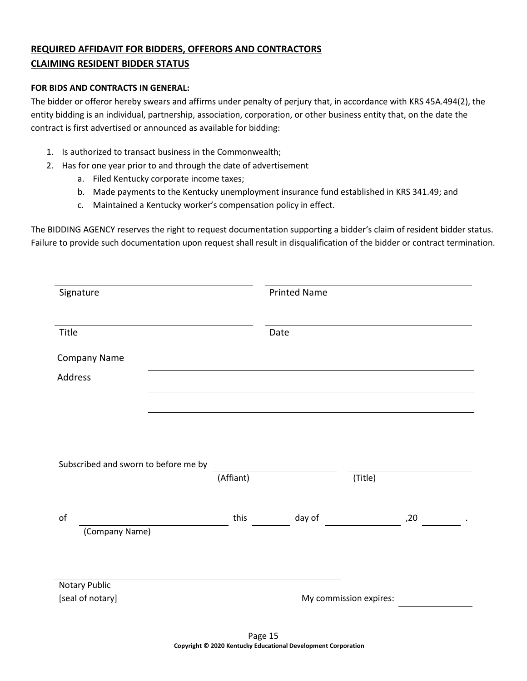# <span id="page-17-0"></span>**REQUIRED AFFIDAVIT FOR BIDDERS, OFFERORS AND CONTRACTORS CLAIMING RESIDENT BIDDER STATUS**

### **FOR BIDS AND CONTRACTS IN GENERAL:**

The bidder or offeror hereby swears and affirms under penalty of perjury that, in accordance with KRS 45A.494(2), the entity bidding is an individual, partnership, association, corporation, or other business entity that, on the date the contract is first advertised or announced as available for bidding:

- 1. Is authorized to transact business in the Commonwealth;
- 2. Has for one year prior to and through the date of advertisement
	- a. Filed Kentucky corporate income taxes;
	- b. Made payments to the Kentucky unemployment insurance fund established in KRS 341.49; and
	- c. Maintained a Kentucky worker's compensation policy in effect.

The BIDDING AGENCY reserves the right to request documentation supporting a bidder's claim of resident bidder status. Failure to provide such documentation upon request shall result in disqualification of the bidder or contract termination.

| Signature                            |           | <b>Printed Name</b> |                        |     |
|--------------------------------------|-----------|---------------------|------------------------|-----|
| Title                                |           | Date                |                        |     |
| Company Name                         |           |                     |                        |     |
| Address                              |           |                     |                        |     |
|                                      |           |                     |                        |     |
|                                      |           |                     |                        |     |
|                                      |           |                     |                        |     |
| Subscribed and sworn to before me by |           |                     |                        |     |
|                                      | (Affiant) |                     | (Title)                |     |
| o <sub>f</sub><br>(Company Name)     | this      | day of              |                        | ,20 |
|                                      |           |                     |                        |     |
| Notary Public                        |           |                     |                        |     |
| [seal of notary]                     |           |                     | My commission expires: |     |